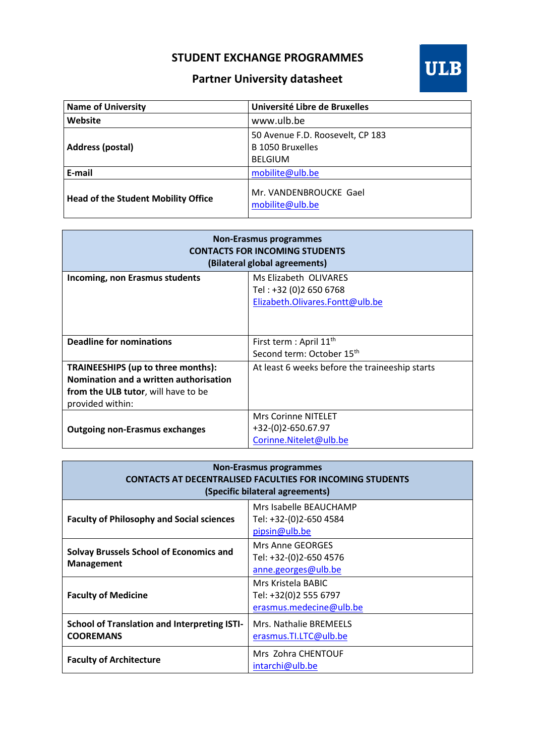## **STUDENT EXCHANGE PROGRAMMES**



## **Partner University datasheet**

| <b>Name of University</b>                  | Université Libre de Bruxelles                                          |
|--------------------------------------------|------------------------------------------------------------------------|
| Website                                    | www.ulb.be                                                             |
| Address (postal)                           | 50 Avenue F.D. Roosevelt, CP 183<br>B 1050 Bruxelles<br><b>BELGIUM</b> |
| E-mail                                     | mobilite@ulb.be                                                        |
| <b>Head of the Student Mobility Office</b> | Mr. VANDENBROUCKE Gael<br>mobilite@ulb.be                              |

| <b>Non-Erasmus programmes</b><br><b>CONTACTS FOR INCOMING STUDENTS</b><br>(Bilateral global agreements) |                                                |  |
|---------------------------------------------------------------------------------------------------------|------------------------------------------------|--|
| Incoming, non Erasmus students                                                                          | Ms Elizabeth OLIVARES                          |  |
|                                                                                                         | Tel: +32 (0)2 650 6768                         |  |
|                                                                                                         | Elizabeth.Olivares.Fontt@ulb.be                |  |
|                                                                                                         |                                                |  |
| <b>Deadline for nominations</b>                                                                         | First term : April 11 <sup>th</sup>            |  |
|                                                                                                         | Second term: October 15 <sup>th</sup>          |  |
| TRAINEESHIPS (up to three months):                                                                      | At least 6 weeks before the traineeship starts |  |
| Nomination and a written authorisation                                                                  |                                                |  |
| from the ULB tutor, will have to be                                                                     |                                                |  |
| provided within:                                                                                        |                                                |  |
|                                                                                                         | <b>Mrs Corinne NITELET</b>                     |  |
| <b>Outgoing non-Erasmus exchanges</b>                                                                   | +32-(0)2-650.67.97                             |  |
|                                                                                                         | Corinne.Nitelet@ulb.be                         |  |

| <b>Non-Erasmus programmes</b><br><b>CONTACTS AT DECENTRALISED FACULTIES FOR INCOMING STUDENTS</b><br>(Specific bilateral agreements) |                                                                          |  |
|--------------------------------------------------------------------------------------------------------------------------------------|--------------------------------------------------------------------------|--|
| <b>Faculty of Philosophy and Social sciences</b>                                                                                     | Mrs Isabelle BEAUCHAMP<br>Tel: +32-(0)2-650 4584<br>pipsin@ulb.be        |  |
| <b>Solvay Brussels School of Economics and</b><br><b>Management</b>                                                                  | <b>Mrs Anne GEORGES</b><br>Tel: +32-(0)2-650 4576<br>anne.georges@ulb.be |  |
| <b>Faculty of Medicine</b>                                                                                                           | Mrs Kristela BABIC<br>Tel: +32(0)2 555 6797<br>erasmus.medecine@ulb.be   |  |
| <b>School of Translation and Interpreting ISTI-</b><br><b>COOREMANS</b>                                                              | Mrs. Nathalie BREMEELS<br>erasmus.TI.LTC@ulb.be                          |  |
| <b>Faculty of Architecture</b>                                                                                                       | Mrs Zohra CHENTOUF<br>intarchi@ulb.be                                    |  |